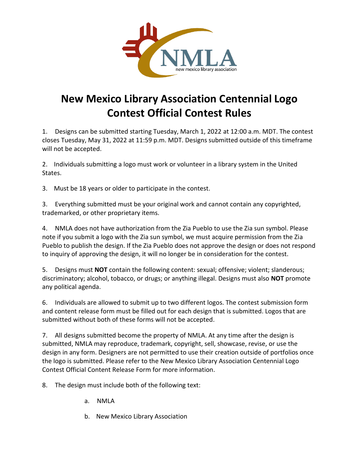

## **New Mexico Library Association Centennial Logo Contest Official Contest Rules**

1. Designs can be submitted starting Tuesday, March 1, 2022 at 12:00 a.m. MDT. The contest closes Tuesday, May 31, 2022 at 11:59 p.m. MDT. Designs submitted outside of this timeframe will not be accepted.

2. Individuals submitting a logo must work or volunteer in a library system in the United States.

3. Must be 18 years or older to participate in the contest.

3. Everything submitted must be your original work and cannot contain any copyrighted, trademarked, or other proprietary items.

4. NMLA does not have authorization from the Zia Pueblo to use the Zia sun symbol. Please note if you submit a logo with the Zia sun symbol, we must acquire permission from the Zia Pueblo to publish the design. If the Zia Pueblo does not approve the design or does not respond to inquiry of approving the design, it will no longer be in consideration for the contest.

5. Designs must **NOT** contain the following content: sexual; offensive; violent; slanderous; discriminatory; alcohol, tobacco, or drugs; or anything illegal. Designs must also **NOT** promote any political agenda.

6. Individuals are allowed to submit up to two different logos. The contest submission form and content release form must be filled out for each design that is submitted. Logos that are submitted without both of these forms will not be accepted.

7. All designs submitted become the property of NMLA. At any time after the design is submitted, NMLA may reproduce, trademark, copyright, sell, showcase, revise, or use the design in any form. Designers are not permitted to use their creation outside of portfolios once the logo is submitted. Please refer to the New Mexico Library Association Centennial Logo Contest Official Content Release Form for more information.

8. The design must include both of the following text:

- a. NMLA
- b. New Mexico Library Association